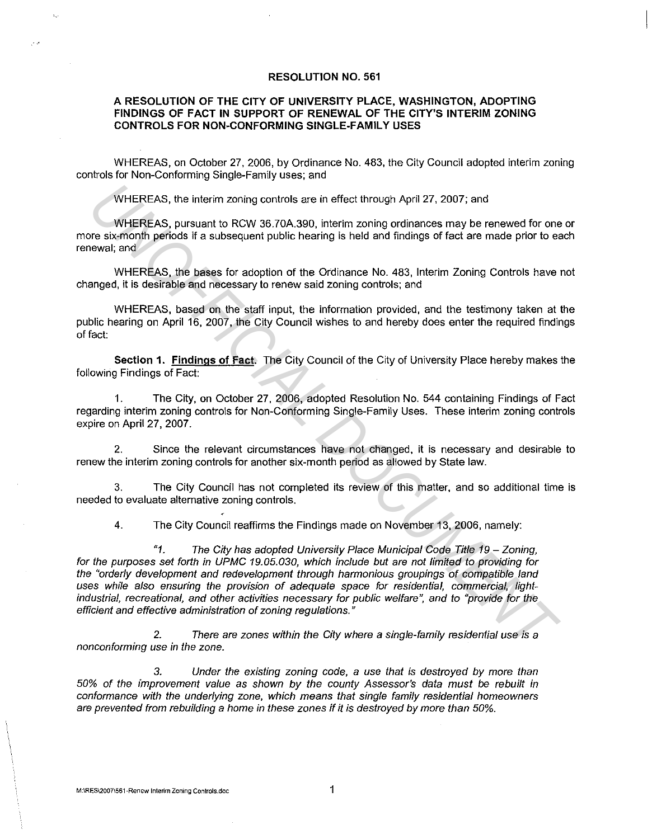## **RESOLUTION NO. 561**

## **A RESOLUTION OF THE CITY OF UNIVERSITY PLACE, WASHINGTON, ADOPTING FINDINGS OF FACT IN SUPPORT OF RENEWAL OF THE CITY'S INTERIM ZONING CONTROLS FOR NON-CONFORMING SINGLE-FAMILY USES**

WHEREAS, on October 27, 2006, by Ordinance No. 483, the City Council adopted interim zoning controls for Non-Conforming Single-Family uses; and

WHEREAS, the interim zoning controls are in effect through April 27, 2007; and

WHEREAS, pursuant to RCW 36.70A.390, interim zoning ordinances may be renewed for one or more six-month periods if a subsequent public hearing is held and findings of fact are made prior to each renewal; and

WHEREAS, the bases for adoption of the Ordinance No. 483, Interim Zoning Controls have not changed, it is desirable and necessary to renew said zoning controls; and

WHEREAS, based on the staff input, the information provided, and the testimony taken at the public hearing on April 16, 2007, the City Council wishes to and hereby does enter the required findings of fact:

**Section 1. Findings of Fact.** The City Council of the City of University Place hereby makes the following Findings of Fact:

1. The City, on October 27, 2006, adopted Resolution No. 544 containing Findings of Fact regarding interim zoning controls for Non-Conforming Single-Family Uses. These interim zoning controls expire on April 27, 2007.

2. Since the relevant circumstances have not changed, it is necessary and desirable to renew the interim zoning controls for another six-month period as allowed by State law.

3. The City Council has not completed its review of this matter, and so additional time is needed to evaluate alternative zoning controls.

4. The City Council reaffirms the Findings made on November 13, 2006, namely:

"1. The City has adopted University Place Municipal Code Title 19 - Zoning, for the purposes set forth in UPMC 19.05.030, which include but are not limited to providing for the "orderly development and redevelopment through harmonious groupings of compatible land uses while also ensuring the provision of adequate space for residential, commercial, lightindustrial, recreational, and other activities necessary for public welfare", and to "provide for the efficient and effective administration of zoning regulations." WHEREAS, the interim zoning controls are in effect through April 27, 2007; and<br>
WHEREAS, pursuant to RCW 36.70A.390, interim zoning ordinances may be renewed for one<br>
years is which periods if a subsequent public hearing i

2. There are zones within the City where a single-family residential use is a nonconforming use in the zone.

3. Under the existing zoning code, a use that is destroyed by more than 50% of the improvement value as shown by the county Assessors data must *be* rebuilt in conformance with the underlying zone, which means that single family residential homeowners are prevented from rebuilding a home in these zones if it is destroyed by more than 50%.